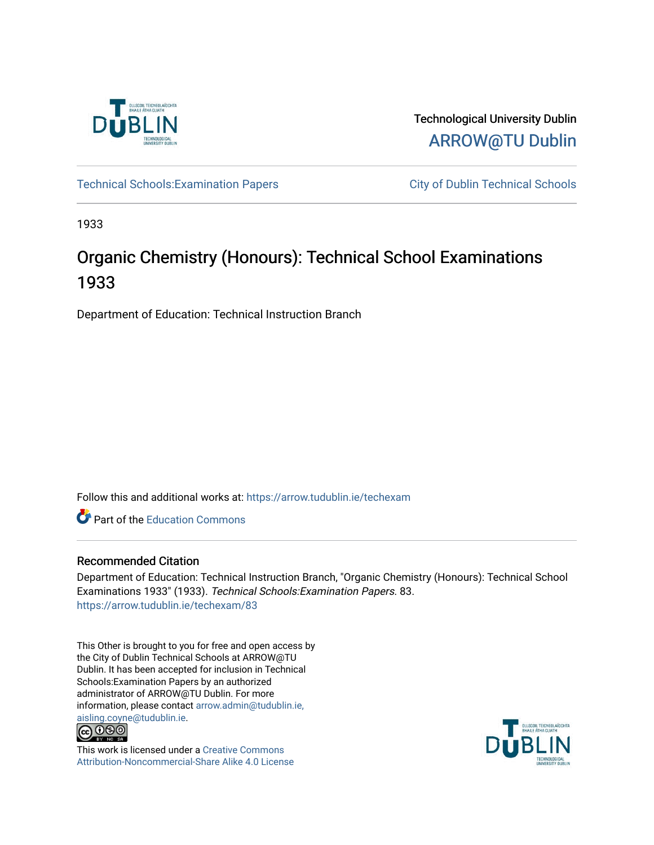

Technological University Dublin [ARROW@TU Dublin](https://arrow.tudublin.ie/) 

Technical Schools: Examination Papers City of Dublin Technical Schools

1933

# Organic Chemistry (Honours): Technical School Examinations 1933

Department of Education: Technical Instruction Branch

Follow this and additional works at: [https://arrow.tudublin.ie/techexam](https://arrow.tudublin.ie/techexam?utm_source=arrow.tudublin.ie%2Ftechexam%2F83&utm_medium=PDF&utm_campaign=PDFCoverPages) 

Part of the [Education Commons](http://network.bepress.com/hgg/discipline/784?utm_source=arrow.tudublin.ie%2Ftechexam%2F83&utm_medium=PDF&utm_campaign=PDFCoverPages)

## Recommended Citation

Department of Education: Technical Instruction Branch, "Organic Chemistry (Honours): Technical School Examinations 1933" (1933). Technical Schools:Examination Papers. 83. [https://arrow.tudublin.ie/techexam/83](https://arrow.tudublin.ie/techexam/83?utm_source=arrow.tudublin.ie%2Ftechexam%2F83&utm_medium=PDF&utm_campaign=PDFCoverPages)

This Other is brought to you for free and open access by the City of Dublin Technical Schools at ARROW@TU Dublin. It has been accepted for inclusion in Technical Schools:Examination Papers by an authorized administrator of ARROW@TU Dublin. For more information, please contact [arrow.admin@tudublin.ie,](mailto:arrow.admin@tudublin.ie,%20aisling.coyne@tudublin.ie)  [aisling.coyne@tudublin.ie.](mailto:arrow.admin@tudublin.ie,%20aisling.coyne@tudublin.ie)<br>© 090



This work is licensed under a [Creative Commons](http://creativecommons.org/licenses/by-nc-sa/4.0/) [Attribution-Noncommercial-Share Alike 4.0 License](http://creativecommons.org/licenses/by-nc-sa/4.0/)

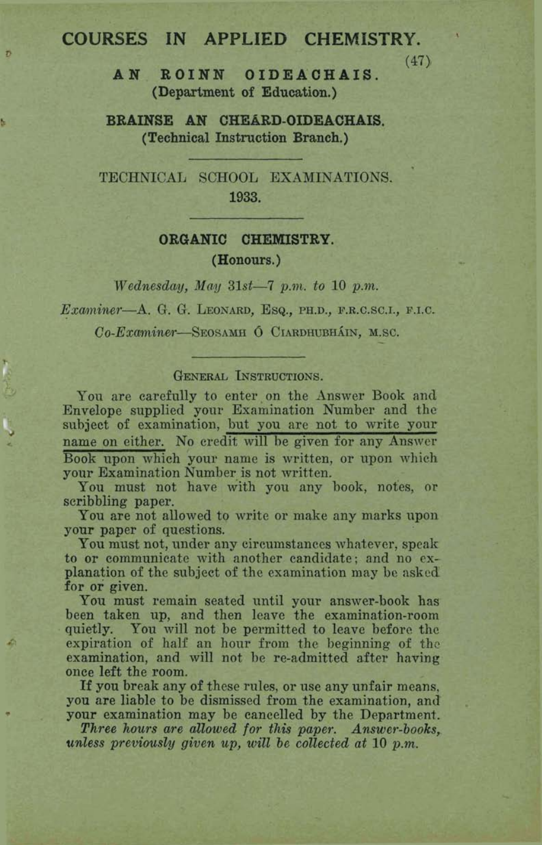## **COURSES IN APPLIED CHEMISTRY.**

n

b

**AN ROINN OIDEACHAIS.** (47)<br> **(Department of Education.)** 

**BRAINSE AN CHEARD-OIDEACHAIS. (Technical Instruction Branch.)** 

TECHNICAL SCHOOL EXAMINATIONS. 1933.

### **ORGANIC CHEWISTRY, (Honours.)**

*Wednesday,* &fay **31st-7** *p.nz. to* **10** *p.m.* 

Examiner-A. G. G. LEONARD, Esq., PH.D., F.R.C.SC.I., F.I.C.

Co-Examiner-SEOSAMH Ó CIARDHUBHÁIN, M.SC.

#### **GENERAL INSTRUCTIONS.**

You are carefully to enter on the Answer Book and Envelope supplied your Examination Number and the subject of examination, but you are not to write your name on either. No credit will be given for any Answer Book upon which your name is written, or upon which your Examination Number is not written.

You must not have with you any book, notes, or scribbling paper.

You are not allowed to write or make any marks upon **your** paper of questions.

You must not, under **any** circumstances whatever, **speak**  to or communicate with another candidate; and no explanation of the subject of the examination may be asked for or given.

You must remain seated until your answer-book has been taken up, and then leave the examination-room quietly. You will not be permitted to leave before the expiration of half an hour from the beginning of **the**  examination, and will not be re-admitted after having once left the room.

If you break any of these rules, or **use** any unfair means, you are liable to be dismissed **from** the examination, anil your examination may **be** cancelled by the Department.

*Three hours are allowed for this paper. Answer-books, tendess previously given up, will be collected at* 10 *p.m.*